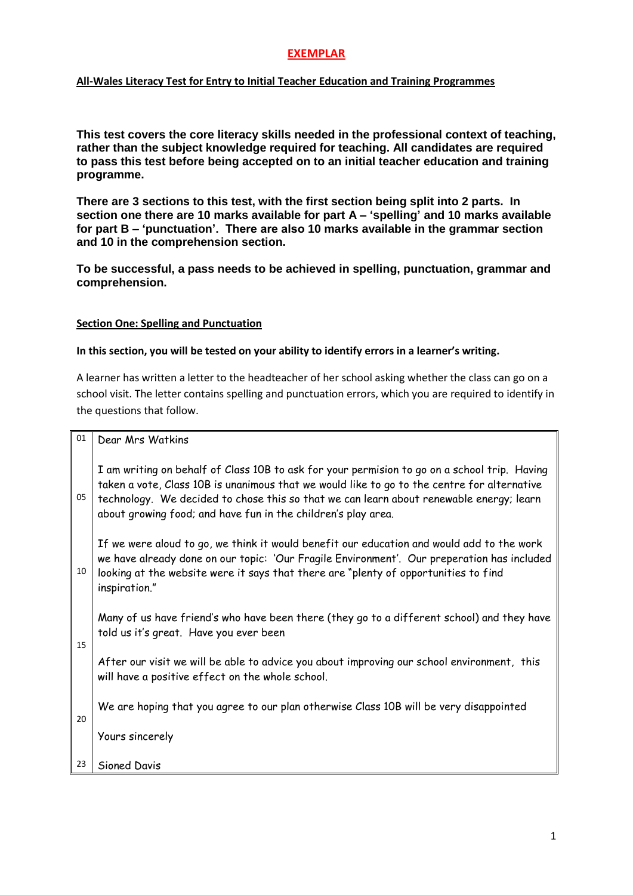## **EXEMPLAR**

#### **All-Wales Literacy Test for Entry to Initial Teacher Education and Training Programmes**

**This test covers the core literacy skills needed in the professional context of teaching, rather than the subject knowledge required for teaching. All candidates are required to pass this test before being accepted on to an initial teacher education and training programme.** 

**There are 3 sections to this test, with the first section being split into 2 parts. In section one there are 10 marks available for part A – 'spelling' and 10 marks available for part B – 'punctuation'. There are also 10 marks available in the grammar section and 10 in the comprehension section.** 

**To be successful, a pass needs to be achieved in spelling, punctuation, grammar and comprehension.**

#### **Section One: Spelling and Punctuation**

#### **In this section, you will be tested on your ability to identify errors in a learner's writing.**

A learner has written a letter to the headteacher of her school asking whether the class can go on a school visit. The letter contains spelling and punctuation errors, which you are required to identify in the questions that follow.

|  |  |  | <sup>01</sup>   Dear Mrs Watkins |
|--|--|--|----------------------------------|
|--|--|--|----------------------------------|

I am writing on behalf of Class 10B to ask for your permision to go on a school trip. Having taken a vote, Class 10B is unanimous that we would like to go to the centre for alternative  $05$  technology. We decided to chose this so that we can learn about renewable energy; learn about growing food; and have fun in the children's play area.

If we were aloud to go, we think it would benefit our education and would add to the work we have already done on our topic: "Our Fragile Environment". Our preperation has included  $10<sup>10</sup>$  looking at the website were it says that there are "plenty of opportunities to find inspiration."

Many of us have friend"s who have been there (they go to a different school) and they have told us it"s great. Have you ever been

15

20

After our visit we will be able to advice you about improving our school environment, this will have a positive effect on the whole school.

We are hoping that you agree to our plan otherwise Class 10B will be very disappointed

Yours sincerely

23 Sioned Davis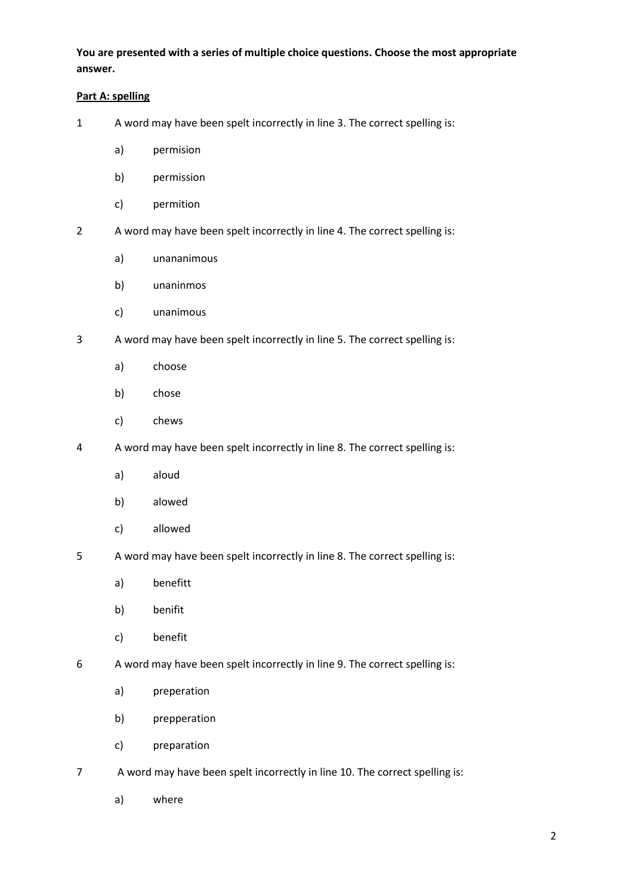**You are presented with a series of multiple choice questions. Choose the most appropriate answer.**

## **Part A: spelling**

- 1 A word may have been spelt incorrectly in line 3. The correct spelling is:
	- a) permision
	- b) permission
	- c) permition
- 2 A word may have been spelt incorrectly in line 4. The correct spelling is:
	- a) unananimous
	- b) unaninmos
	- c) unanimous
- 3 A word may have been spelt incorrectly in line 5. The correct spelling is:
	- a) choose
	- b) chose
	- c) chews
- 4 A word may have been spelt incorrectly in line 8. The correct spelling is:
	- a) aloud
	- b) alowed
	- c) allowed
- 5 A word may have been spelt incorrectly in line 8. The correct spelling is:
	- a) benefitt
	- b) benifit
	- c) benefit
- 6 A word may have been spelt incorrectly in line 9. The correct spelling is:
	- a) preperation
	- b) prepperation
	- c) preparation
- 7 A word may have been spelt incorrectly in line 10. The correct spelling is:
	- a) where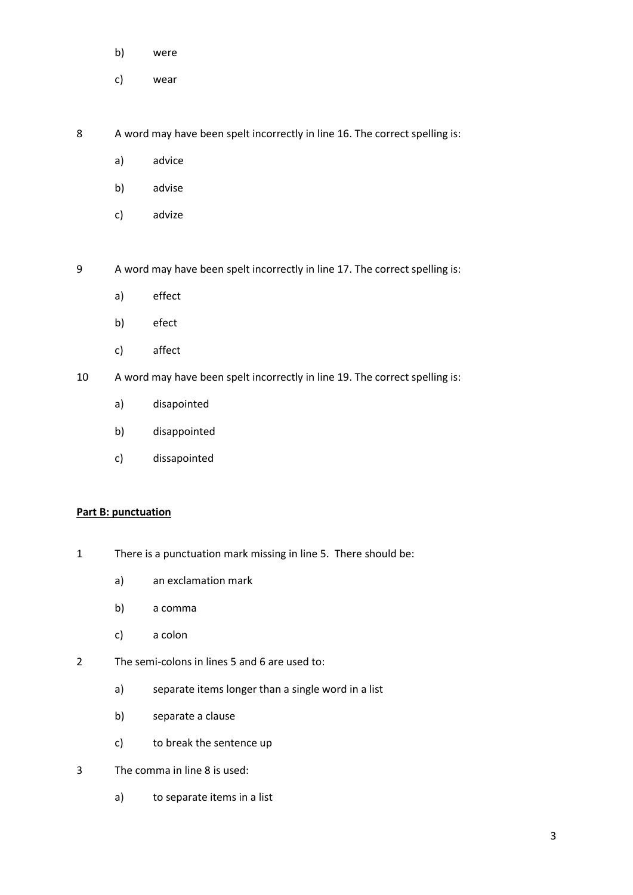- b) were
- c) wear

8 A word may have been spelt incorrectly in line 16. The correct spelling is:

- a) advice
- b) advise
- c) advize

9 A word may have been spelt incorrectly in line 17. The correct spelling is:

- a) effect
- b) efect
- c) affect
- 10 A word may have been spelt incorrectly in line 19. The correct spelling is:
	- a) disapointed
	- b) disappointed
	- c) dissapointed

#### **Part B: punctuation**

- 1 There is a punctuation mark missing in line 5. There should be:
	- a) an exclamation mark
	- b) a comma
	- c) a colon
- 2 The semi-colons in lines 5 and 6 are used to:
	- a) separate items longer than a single word in a list
	- b) separate a clause
	- c) to break the sentence up
- 3 The comma in line 8 is used:
	- a) to separate items in a list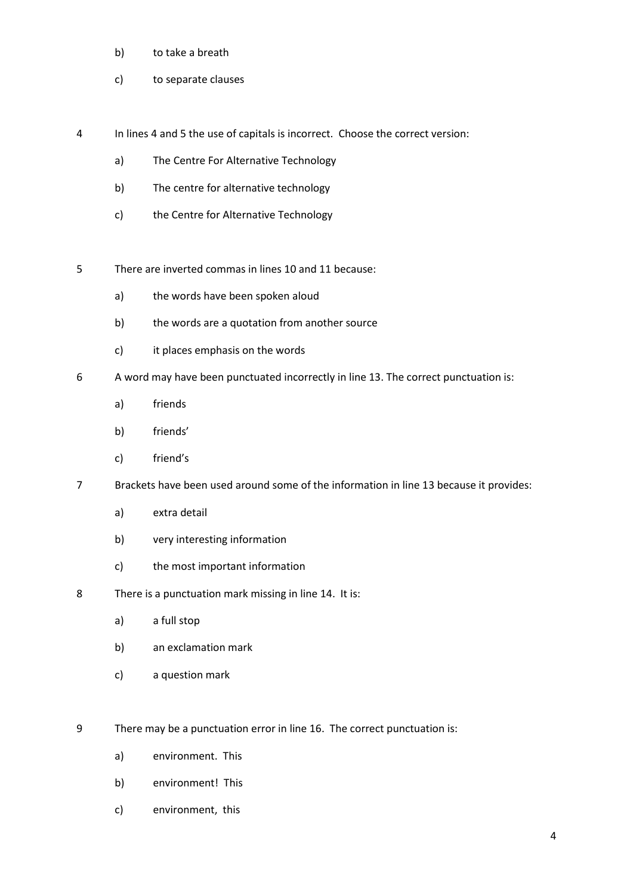- b) to take a breath
- c) to separate clauses
- 4 In lines 4 and 5 the use of capitals is incorrect. Choose the correct version:
	- a) The Centre For Alternative Technology
	- b) The centre for alternative technology
	- c) the Centre for Alternative Technology
- 5 There are inverted commas in lines 10 and 11 because:
	- a) the words have been spoken aloud
	- b) the words are a quotation from another source
	- c) it places emphasis on the words
- 6 A word may have been punctuated incorrectly in line 13. The correct punctuation is:
	- a) friends
	- b) friends'
	- c) friend's
- 7 Brackets have been used around some of the information in line 13 because it provides:
	- a) extra detail
	- b) very interesting information
	- c) the most important information
- 8 There is a punctuation mark missing in line 14. It is:
	- a) a full stop
	- b) an exclamation mark
	- c) a question mark
- 9 There may be a punctuation error in line 16. The correct punctuation is:
	- a) environment. This
	- b) environment! This
	- c) environment, this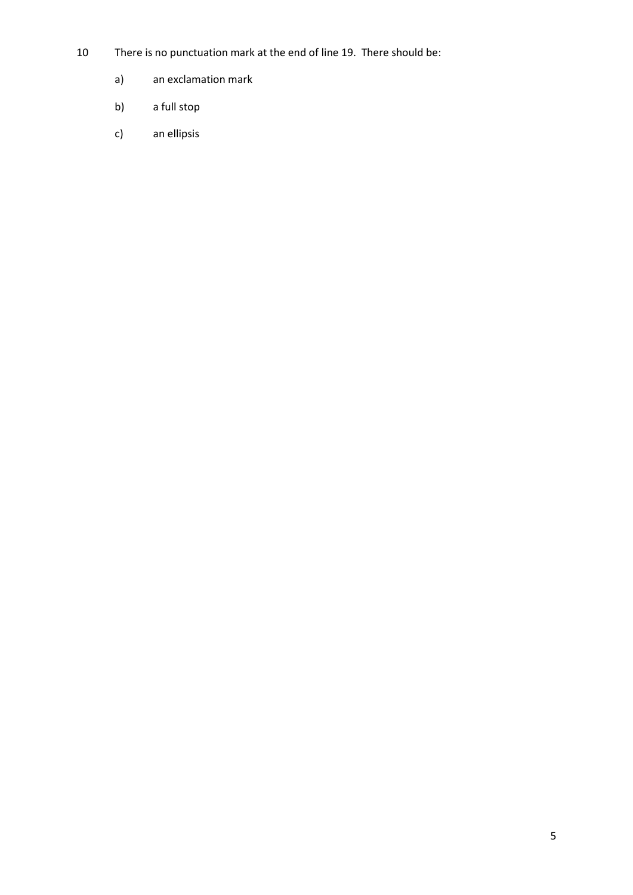- 10 There is no punctuation mark at the end of line 19. There should be:
	- a) an exclamation mark
	- b) a full stop
	- c) an ellipsis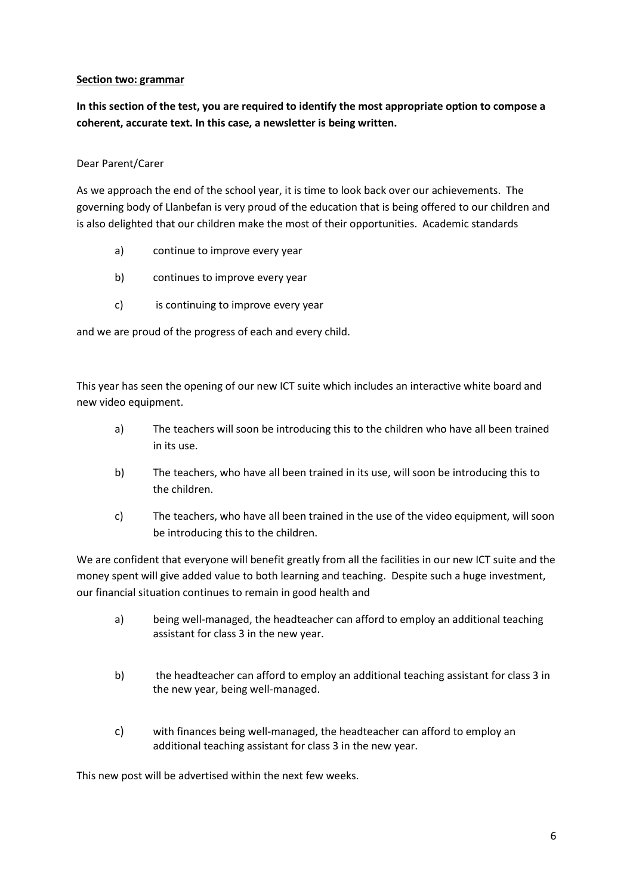## **Section two: grammar**

**In this section of the test, you are required to identify the most appropriate option to compose a coherent, accurate text. In this case, a newsletter is being written.**

## Dear Parent/Carer

As we approach the end of the school year, it is time to look back over our achievements. The governing body of Llanbefan is very proud of the education that is being offered to our children and is also delighted that our children make the most of their opportunities. Academic standards

- a) continue to improve every year
- b) continues to improve every year
- c) is continuing to improve every year

and we are proud of the progress of each and every child.

This year has seen the opening of our new ICT suite which includes an interactive white board and new video equipment.

- a) The teachers will soon be introducing this to the children who have all been trained in its use.
- b) The teachers, who have all been trained in its use, will soon be introducing this to the children.
- c) The teachers, who have all been trained in the use of the video equipment, will soon be introducing this to the children.

We are confident that everyone will benefit greatly from all the facilities in our new ICT suite and the money spent will give added value to both learning and teaching. Despite such a huge investment, our financial situation continues to remain in good health and

- a) being well-managed, the headteacher can afford to employ an additional teaching assistant for class 3 in the new year.
- b) the headteacher can afford to employ an additional teaching assistant for class 3 in the new year, being well-managed.
- c) with finances being well-managed, the headteacher can afford to employ an additional teaching assistant for class 3 in the new year.

This new post will be advertised within the next few weeks.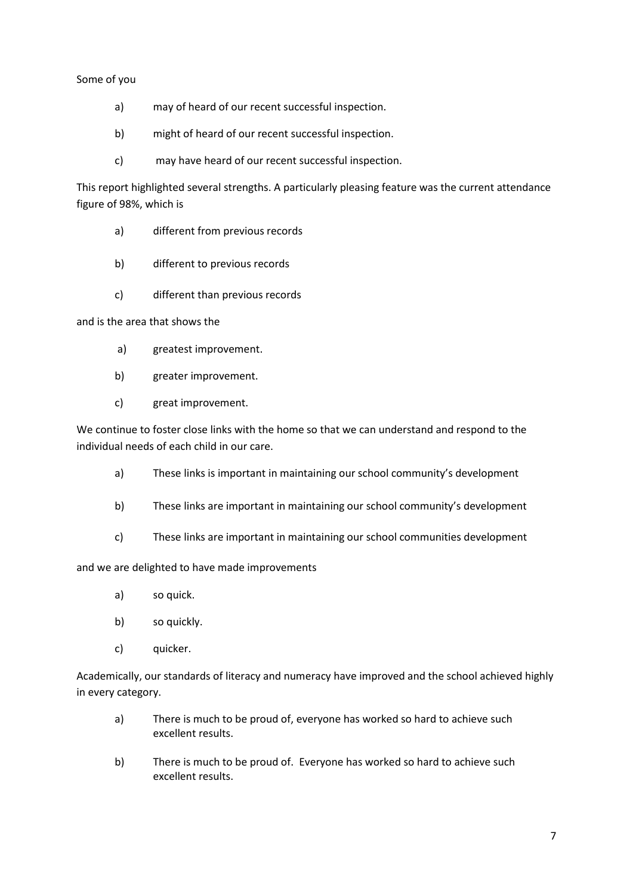## Some of you

- a) may of heard of our recent successful inspection.
- b) might of heard of our recent successful inspection.
- c) may have heard of our recent successful inspection.

This report highlighted several strengths. A particularly pleasing feature was the current attendance figure of 98%, which is

- a) different from previous records
- b) different to previous records
- c) different than previous records

and is the area that shows the

- a) greatest improvement.
- b) greater improvement.
- c) great improvement.

We continue to foster close links with the home so that we can understand and respond to the individual needs of each child in our care.

- a) These links is important in maintaining our school community's development
- b) These links are important in maintaining our school community's development
- c) These links are important in maintaining our school communities development

# and we are delighted to have made improvements

- a) so quick.
- b) so quickly.
- c) quicker.

Academically, our standards of literacy and numeracy have improved and the school achieved highly in every category.

- a) There is much to be proud of, everyone has worked so hard to achieve such excellent results.
- b) There is much to be proud of. Everyone has worked so hard to achieve such excellent results.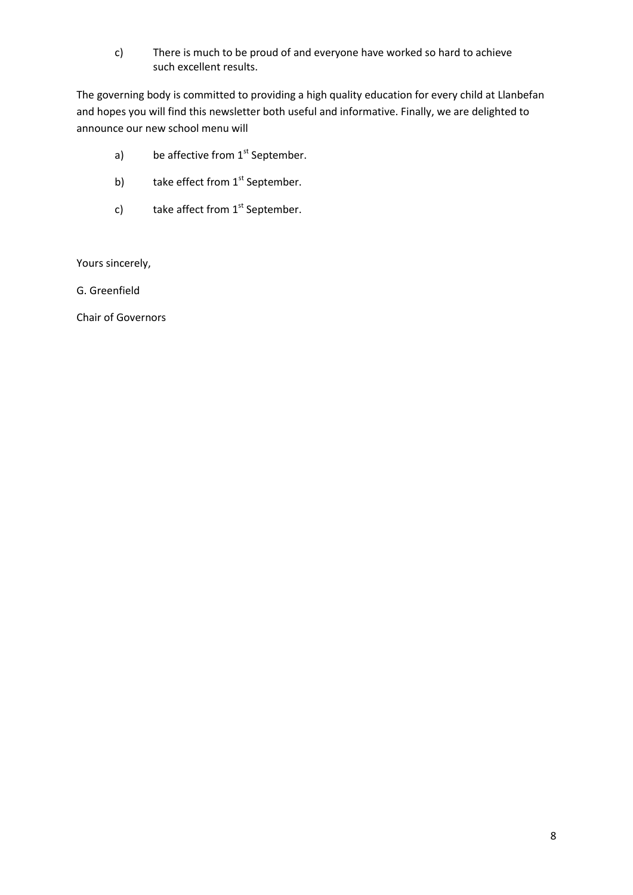c) There is much to be proud of and everyone have worked so hard to achieve such excellent results.

The governing body is committed to providing a high quality education for every child at Llanbefan and hopes you will find this newsletter both useful and informative. Finally, we are delighted to announce our new school menu will

- a) be affective from  $1<sup>st</sup>$  September.
- b) take effect from  $1<sup>st</sup>$  September.
- c) take affect from  $1<sup>st</sup>$  September.

Yours sincerely,

G. Greenfield

Chair of Governors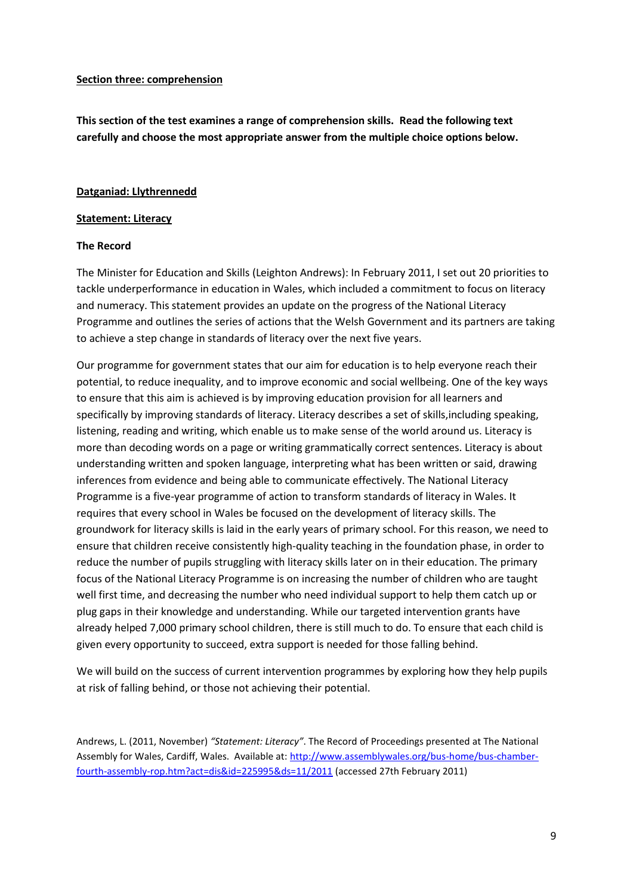#### **Section three: comprehension**

**This section of the test examines a range of comprehension skills. Read the following text carefully and choose the most appropriate answer from the multiple choice options below.**

#### **Datganiad: Llythrennedd**

#### **Statement: Literacy**

## **The Record**

The Minister for Education and Skills (Leighton Andrews): In February 2011, I set out 20 priorities to tackle underperformance in education in Wales, which included a commitment to focus on literacy and numeracy. This statement provides an update on the progress of the National Literacy Programme and outlines the series of actions that the Welsh Government and its partners are taking to achieve a step change in standards of literacy over the next five years.

Our programme for government states that our aim for education is to help everyone reach their potential, to reduce inequality, and to improve economic and social wellbeing. One of the key ways to ensure that this aim is achieved is by improving education provision for all learners and specifically by improving standards of literacy. Literacy describes a set of skills,including speaking, listening, reading and writing, which enable us to make sense of the world around us. Literacy is more than decoding words on a page or writing grammatically correct sentences. Literacy is about understanding written and spoken language, interpreting what has been written or said, drawing inferences from evidence and being able to communicate effectively. The National Literacy Programme is a five-year programme of action to transform standards of literacy in Wales. It requires that every school in Wales be focused on the development of literacy skills. The groundwork for literacy skills is laid in the early years of primary school. For this reason, we need to ensure that children receive consistently high-quality teaching in the foundation phase, in order to reduce the number of pupils struggling with literacy skills later on in their education. The primary focus of the National Literacy Programme is on increasing the number of children who are taught well first time, and decreasing the number who need individual support to help them catch up or plug gaps in their knowledge and understanding. While our targeted intervention grants have already helped 7,000 primary school children, there is still much to do. To ensure that each child is given every opportunity to succeed, extra support is needed for those falling behind.

We will build on the success of current intervention programmes by exploring how they help pupils at risk of falling behind, or those not achieving their potential.

Andrews, L. (2011, November) *"Statement: Literacy"*. The Record of Proceedings presented at The National Assembly for Wales, Cardiff, Wales. Available at: [http://www.assemblywales.org/bus-home/bus-chamber](http://www.assemblywales.org/bus-home/bus-chamber-fourth-assembly-rop.htm?act=dis&id=225995&ds=11/2011)[fourth-assembly-rop.htm?act=dis&id=225995&ds=11/2011](http://www.assemblywales.org/bus-home/bus-chamber-fourth-assembly-rop.htm?act=dis&id=225995&ds=11/2011) (accessed 27th February 2011)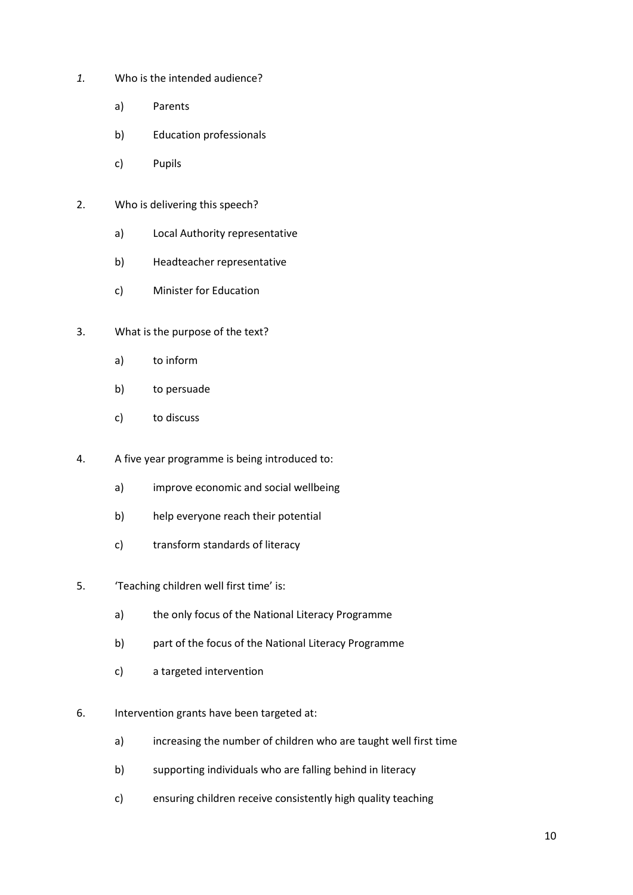- *1.* Who is the intended audience?
	- a) Parents
	- b) Education professionals
	- c) Pupils
- 2. Who is delivering this speech?
	- a) Local Authority representative
	- b) Headteacher representative
	- c) Minister for Education
- 3. What is the purpose of the text?
	- a) to inform
	- b) to persuade
	- c) to discuss
- 4. A five year programme is being introduced to:
	- a) improve economic and social wellbeing
	- b) help everyone reach their potential
	- c) transform standards of literacy
- 5. 'Teaching children well first time' is:
	- a) the only focus of the National Literacy Programme
	- b) part of the focus of the National Literacy Programme
	- c) a targeted intervention
- 6. Intervention grants have been targeted at:
	- a) increasing the number of children who are taught well first time
	- b) supporting individuals who are falling behind in literacy
	- c) ensuring children receive consistently high quality teaching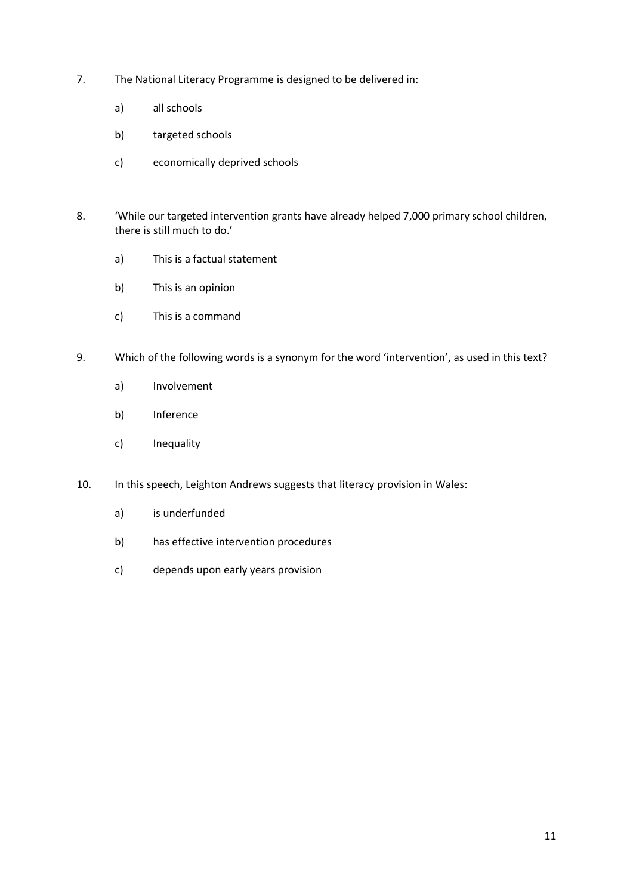- 7. The National Literacy Programme is designed to be delivered in:
	- a) all schools
	- b) targeted schools
	- c) economically deprived schools
- 8. 'While our targeted intervention grants have already helped 7,000 primary school children, there is still much to do.'
	- a) This is a factual statement
	- b) This is an opinion
	- c) This is a command
- 9. Which of the following words is a synonym for the word 'intervention', as used in this text?
	- a) Involvement
	- b) Inference
	- c) Inequality
- 10. In this speech, Leighton Andrews suggests that literacy provision in Wales:
	- a) is underfunded
	- b) has effective intervention procedures
	- c) depends upon early years provision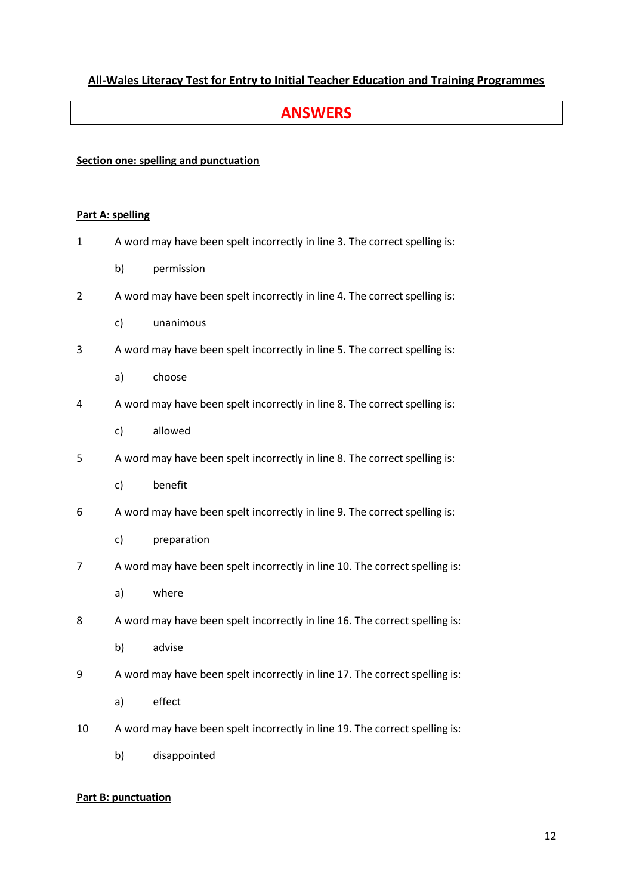# **All-Wales Literacy Test for Entry to Initial Teacher Education and Training Programmes**

# **ANSWERS**

## **Section one: spelling and punctuation**

#### **Part A: spelling**

- 1 A word may have been spelt incorrectly in line 3. The correct spelling is:
	- b) permission
- 2 A word may have been spelt incorrectly in line 4. The correct spelling is:
	- c) unanimous
- 3 A word may have been spelt incorrectly in line 5. The correct spelling is:
	- a) choose
- 4 A word may have been spelt incorrectly in line 8. The correct spelling is:
	- c) allowed
- 5 A word may have been spelt incorrectly in line 8. The correct spelling is:
	- c) benefit
- 6 A word may have been spelt incorrectly in line 9. The correct spelling is:
	- c) preparation
- 7 A word may have been spelt incorrectly in line 10. The correct spelling is:
	- a) where
- 8 A word may have been spelt incorrectly in line 16. The correct spelling is:
	- b) advise
- 9 A word may have been spelt incorrectly in line 17. The correct spelling is:
	- a) effect
- 10 A word may have been spelt incorrectly in line 19. The correct spelling is:
	- b) disappointed

#### **Part B: punctuation**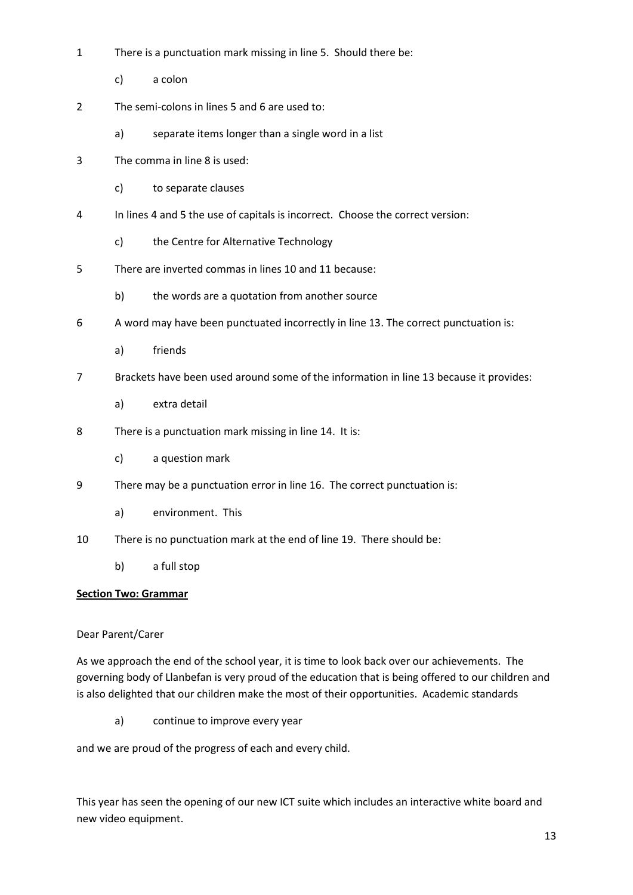- 1 There is a punctuation mark missing in line 5. Should there be:
	- c) a colon
- 2 The semi-colons in lines 5 and 6 are used to:
	- a) separate items longer than a single word in a list
- 3 The comma in line 8 is used:
	- c) to separate clauses
- 4 In lines 4 and 5 the use of capitals is incorrect. Choose the correct version:
	- c) the Centre for Alternative Technology
- 5 There are inverted commas in lines 10 and 11 because:
	- b) the words are a quotation from another source
- 6 A word may have been punctuated incorrectly in line 13. The correct punctuation is:
	- a) friends
- 7 Brackets have been used around some of the information in line 13 because it provides:
	- a) extra detail
- 8 There is a punctuation mark missing in line 14. It is:
	- c) a question mark
- 9 There may be a punctuation error in line 16. The correct punctuation is:
	- a) environment. This
- 10 There is no punctuation mark at the end of line 19. There should be:
	- b) a full stop

## **Section Two: Grammar**

#### Dear Parent/Carer

As we approach the end of the school year, it is time to look back over our achievements. The governing body of Llanbefan is very proud of the education that is being offered to our children and is also delighted that our children make the most of their opportunities. Academic standards

a) continue to improve every year

and we are proud of the progress of each and every child.

This year has seen the opening of our new ICT suite which includes an interactive white board and new video equipment.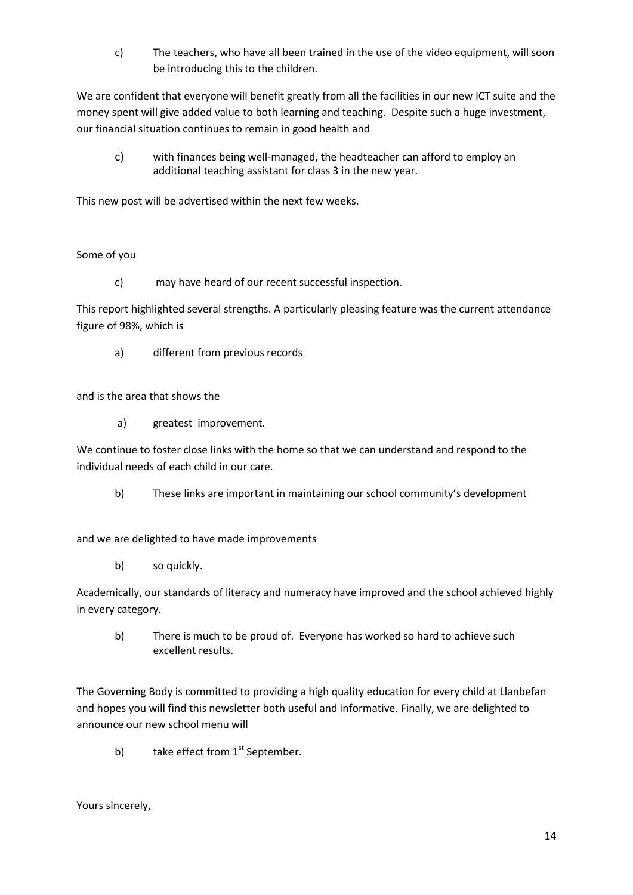c) The teachers, who have all been trained in the use of the video equipment, will soon be introducing this to the children.

We are confident that everyone will benefit greatly from all the facilities in our new ICT suite and the money spent will give added value to both learning and teaching. Despite such a huge investment, our financial situation continues to remain in good health and

c) with finances being well-managed, the headteacher can afford to employ an additional teaching assistant for class 3 in the new year.

This new post will be advertised within the next few weeks.

# Some of you

c) may have heard of our recent successful inspection.

This report highlighted several strengths. A particularly pleasing feature was the current attendance figure of 98%, which is

a) different from previous records

and is the area that shows the

a) greatest improvement.

We continue to foster close links with the home so that we can understand and respond to the individual needs of each child in our care.

b) These links are important in maintaining our school community's development

and we are delighted to have made improvements

b) so quickly.

Academically, our standards of literacy and numeracy have improved and the school achieved highly in every category.

b) There is much to be proud of. Everyone has worked so hard to achieve such excellent results.

The Governing Body is committed to providing a high quality education for every child at Llanbefan and hopes you will find this newsletter both useful and informative. Finally, we are delighted to announce our new school menu will

b) take effect from  $1<sup>st</sup>$  September.

Yours sincerely,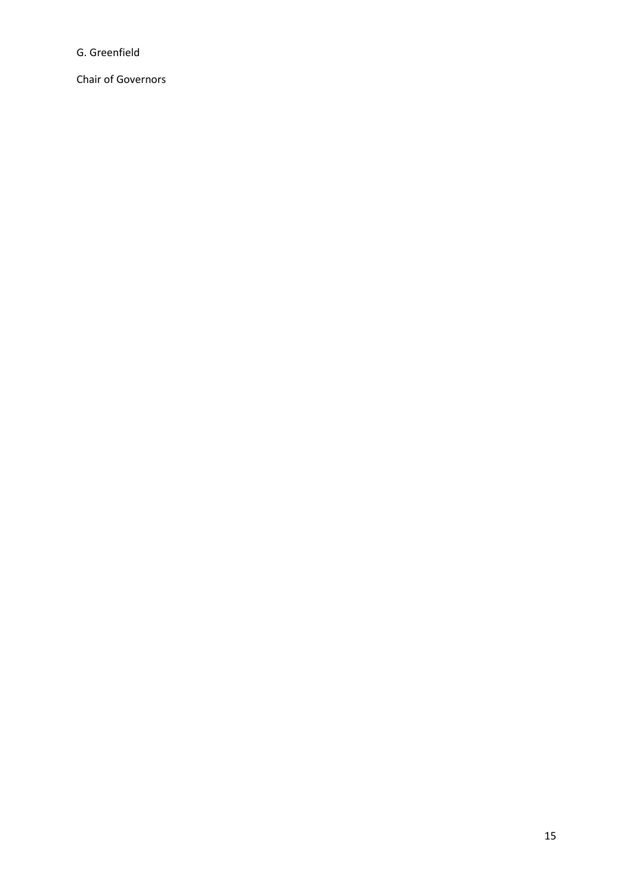G. Greenfield

Chair of Governors